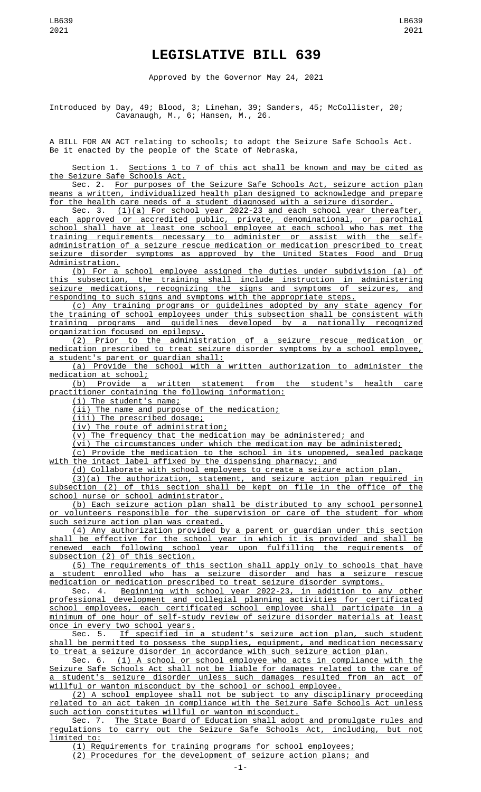## **LEGISLATIVE BILL 639**

Approved by the Governor May 24, 2021

Introduced by Day, 49; Blood, 3; Linehan, 39; Sanders, 45; McCollister, 20; Cavanaugh, M., 6; Hansen, M., 26.

A BILL FOR AN ACT relating to schools; to adopt the Seizure Safe Schools Act. Be it enacted by the people of the State of Nebraska,

Section 1. Sections 1 to 7 of this act shall be known and may be cited as the Seizure Safe Schools Act.

Sec. 2. For purposes of the Seizure Safe Schools Act, seizure action plan means a written, individualized health plan designed to acknowledge and prepare for the health care needs of a student diagnosed with a seizure disorder.

Sec. 3. (1)(a) For school year 2022-23 and each school year thereafter, each approved or accredited public, private, denominational, or parochial school shall have at least one school employee at each school who has met the training requirements necessary to administer or assist with the selfadministration of a seizure rescue medication or medication prescribed to treat seizure disorder symptoms as approved by the United States Food and Drug Administration.

(b) For a school employee assigned the duties under subdivision (a) of this subsection, the training shall include instruction in administering seizure medications, recognizing the signs and symptoms of seizures, and responding to such signs and symptoms with the appropriate steps.

(c) Any training programs or guidelines adopted by any state agency for the training of school employees under this subsection shall be consistent with training programs and guidelines developed by a nationally recognized organization focused on epilepsy.

(2) Prior to the administration of a seizure rescue medication or medication prescribed to treat seizure disorder symptoms by a school employee, a student's parent or guardian shall:

(a) Provide the school with a written authorization to administer the medication at school;<br>(b) Provide a

written statement from the student's health care practitioner containing the following information:

(i) The student's name;

(ii) The name and purpose of the medication;

(iii) The prescribed dosage;

(iv) The route of administration;

(v) The frequency that the medication may be administered; and

(vi) The circumstances under which the medication may be administered;

(c) Provide the medication to the school in its unopened, sealed package with the intact label affixed by the dispensing pharmacy; and

(d) Collaborate with school employees to create a seizure action plan.

(3)(a) The authorization, statement, and seizure action plan required in subsection (2) of this section shall be kept on file in the office of the school nurse or school administrator.

(b) Each seizure action plan shall be distributed to any school personnel or volunteers responsible for the supervision or care of the student for whom such seizure action plan was created.

(4) Any authorization provided by a parent or guardian under this section shall be effective for the school year in which it is provided and shall be renewed each following school year upon fulfilling the requirements of subsection (2) of this section.

(5) The requirements of this section shall apply only to schools that have a student enrolled who has a seizure disorder and has a seizure rescue medication or medication prescribed to treat seizure disorder symptoms.<br>Sec. 4. Beginning with school year 2022-23, in addition to a

Sec. 4. Beginning with school year 2022-23, in addition to any other professional development and collegial planning activities for certificated school employees, each certificated school employee shall participate in a minimum of one hour of self-study review of seizure disorder materials at least once in every two school years.

Sec. 5. If specified in a student's seizure action plan, such student shall be permitted to possess the supplies, equipment, and medication necessary to treat a seizure disorder in accordance with such seizure action plan.

Sec. 6. (1) A school or school employee who acts in compliance with the Seizure Safe Schools Act shall not be liable for damages related to the care of a student's seizure disorder unless such damages resulted from an act of willful or wanton misconduct by the school or school employee.

(2) A school employee shall not be subject to any disciplinary proceeding related to an act taken in compliance with the Seizure Safe Schools Act unless such action constitutes willful or wanton misconduct.

Sec. 7. The State Board of Education shall adopt and promulgate rules and<br>Ations to carry out the Seizure Safe Schools Act, including, but not regulations to carry out the Seizure Safe Schools Act, limited to:

(1) Requirements for training programs for school employees;

(2) Procedures for the development of seizure action plans; and